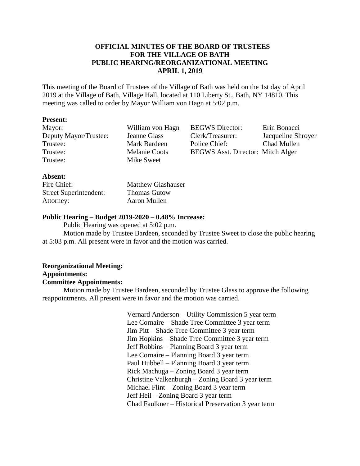## **OFFICIAL MINUTES OF THE BOARD OF TRUSTEES FOR THE VILLAGE OF BATH PUBLIC HEARING/REORGANIZATIONAL MEETING APRIL 1, 2019**

This meeting of the Board of Trustees of the Village of Bath was held on the 1st day of April 2019 at the Village of Bath, Village Hall, located at 110 Liberty St., Bath, NY 14810. This meeting was called to order by Mayor William von Hagn at 5:02 p.m.

## **Present:**

| Mayor:                                  | William von Hagn     | <b>BEGWS</b> Director:                   | Erin Bonacci       |
|-----------------------------------------|----------------------|------------------------------------------|--------------------|
| Deputy Mayor/Trustee:                   | Jeanne Glass         | Clerk/Treasurer:                         | Jacqueline Shroyer |
| Trustee:                                | Mark Bardeen         | Police Chief:                            | Chad Mullen        |
| Trustee:                                | <b>Melanie Coots</b> | <b>BEGWS</b> Asst. Director: Mitch Alger |                    |
| Trustee:                                | Mike Sweet           |                                          |                    |
| $\Delta$ <b>L</b> $\alpha$ and $\alpha$ |                      |                                          |                    |

## **Absent:**

| Fire Chief:                   | <b>Matthew Glashauser</b> |
|-------------------------------|---------------------------|
| <b>Street Superintendent:</b> | <b>Thomas Gutow</b>       |
| Attorney:                     | Aaron Mullen              |

## **Public Hearing – Budget 2019-2020 – 0.48% Increase:**

Public Hearing was opened at 5:02 p.m.

Motion made by Trustee Bardeen, seconded by Trustee Sweet to close the public hearing at 5:03 p.m. All present were in favor and the motion was carried.

# **Reorganizational Meeting: Appointments:**

## **Committee Appointments:**

Motion made by Trustee Bardeen, seconded by Trustee Glass to approve the following reappointments. All present were in favor and the motion was carried.

> Vernard Anderson – Utility Commission 5 year term Lee Cornaire – Shade Tree Committee 3 year term Jim Pitt – Shade Tree Committee 3 year term Jim Hopkins – Shade Tree Committee 3 year term Jeff Robbins – Planning Board 3 year term Lee Cornaire – Planning Board 3 year term Paul Hubbell – Planning Board 3 year term Rick Machuga – Zoning Board 3 year term Christine Valkenburgh – Zoning Board 3 year term Michael Flint – Zoning Board 3 year term Jeff Heil – Zoning Board 3 year term Chad Faulkner – Historical Preservation 3 year term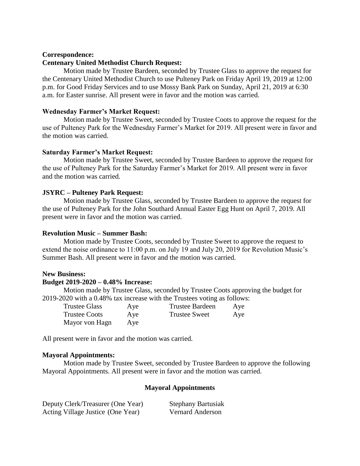## **Correspondence:**

## **Centenary United Methodist Church Request:**

Motion made by Trustee Bardeen, seconded by Trustee Glass to approve the request for the Centenary United Methodist Church to use Pulteney Park on Friday April 19, 2019 at 12:00 p.m. for Good Friday Services and to use Mossy Bank Park on Sunday, April 21, 2019 at 6:30 a.m. for Easter sunrise. All present were in favor and the motion was carried.

## **Wednesday Farmer's Market Request:**

Motion made by Trustee Sweet, seconded by Trustee Coots to approve the request for the use of Pulteney Park for the Wednesday Farmer's Market for 2019. All present were in favor and the motion was carried.

## **Saturday Farmer's Market Request:**

Motion made by Trustee Sweet, seconded by Trustee Bardeen to approve the request for the use of Pulteney Park for the Saturday Farmer's Market for 2019. All present were in favor and the motion was carried.

## **JSYRC – Pulteney Park Request:**

Motion made by Trustee Glass, seconded by Trustee Bardeen to approve the request for the use of Pulteney Park for the John Southard Annual Easter Egg Hunt on April 7, 2019. All present were in favor and the motion was carried.

## **Revolution Music – Summer Bash:**

Motion made by Trustee Coots, seconded by Trustee Sweet to approve the request to extend the noise ordinance to 11:00 p.m. on July 19 and July 20, 2019 for Revolution Music's Summer Bash. All present were in favor and the motion was carried.

## **New Business:**

## **Budget 2019-2020 – 0.48% Increase:**

Motion made by Trustee Glass, seconded by Trustee Coots approving the budget for 2019-2020 with a 0.48% tax increase with the Trustees voting as follows:

| <b>Trustee Glass</b> | Aye | <b>Trustee Bardeen</b> | Aye |
|----------------------|-----|------------------------|-----|
| <b>Trustee Coots</b> | Aye | <b>Trustee Sweet</b>   | Aye |
| Mayor von Hagn       | Aye |                        |     |

All present were in favor and the motion was carried.

## **Mayoral Appointments:**

Motion made by Trustee Sweet, seconded by Trustee Bardeen to approve the following Mayoral Appointments. All present were in favor and the motion was carried.

## **Mayoral Appointments**

| Deputy Clerk/Treasurer (One Year) | <b>Stephany Bartusiak</b> |
|-----------------------------------|---------------------------|
| Acting Village Justice (One Year) | <b>Vernard Anderson</b>   |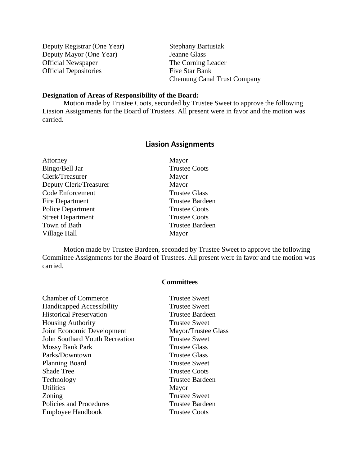| Deputy Registrar (One Year)  | <b>Stephany Bartusiak</b>          |
|------------------------------|------------------------------------|
| Deputy Mayor (One Year)      | Jeanne Glass                       |
| <b>Official Newspaper</b>    | The Corning Leader                 |
| <b>Official Depositories</b> | Five Star Bank                     |
|                              | <b>Chemung Canal Trust Company</b> |

## **Designation of Areas of Responsibility of the Board:**

Motion made by Trustee Coots, seconded by Trustee Sweet to approve the following Liasion Assignments for the Board of Trustees. All present were in favor and the motion was carried.

# **Liasion Assignments**

| Attorney                 | Mayor                  |
|--------------------------|------------------------|
| Bingo/Bell Jar           | <b>Trustee Coots</b>   |
| Clerk/Treasurer          | Mayor                  |
| Deputy Clerk/Treasurer   | Mayor                  |
| <b>Code Enforcement</b>  | <b>Trustee Glass</b>   |
| <b>Fire Department</b>   | <b>Trustee Bardeen</b> |
| <b>Police Department</b> | <b>Trustee Coots</b>   |
| <b>Street Department</b> | <b>Trustee Coots</b>   |
| Town of Bath             | <b>Trustee Bardeen</b> |
| Village Hall             | Mayor                  |

Motion made by Trustee Bardeen, seconded by Trustee Sweet to approve the following Committee Assignments for the Board of Trustees. All present were in favor and the motion was carried.

## **Committees**

| <b>Trustee Sweet</b>   |
|------------------------|
| <b>Trustee Sweet</b>   |
| <b>Trustee Bardeen</b> |
| <b>Trustee Sweet</b>   |
| Mayor/Trustee Glass    |
| <b>Trustee Sweet</b>   |
| <b>Trustee Glass</b>   |
| <b>Trustee Glass</b>   |
| <b>Trustee Sweet</b>   |
| <b>Trustee Coots</b>   |
| <b>Trustee Bardeen</b> |
| Mayor                  |
| <b>Trustee Sweet</b>   |
| <b>Trustee Bardeen</b> |
| <b>Trustee Coots</b>   |
|                        |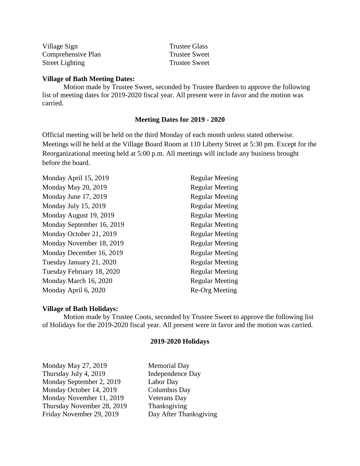| Village Sign           | <b>Trustee Glass</b> |
|------------------------|----------------------|
| Comprehensive Plan     | <b>Trustee Sweet</b> |
| <b>Street Lighting</b> | <b>Trustee Sweet</b> |

## **Village of Bath Meeting Dates:**

Motion made by Trustee Sweet, seconded by Trustee Bardeen to approve the following list of meeting dates for 2019-2020 fiscal year. All present were in favor and the motion was carried.

## **Meeting Dates for 2019 - 2020**

Official meeting will be held on the third Monday of each month unless stated otherwise. Meetings will be held at the Village Board Room at 110 Liberty Street at 5:30 pm. Except for the Reorganizational meeting held at 5:00 p.m. All meetings will include any business brought before the board.

| Monday April 15, 2019     | <b>Regular Meeting</b> |
|---------------------------|------------------------|
| Monday May 20, 2019       | <b>Regular Meeting</b> |
| Monday June 17, 2019      | <b>Regular Meeting</b> |
| Monday July 15, 2019      | <b>Regular Meeting</b> |
| Monday August 19, 2019    | <b>Regular Meeting</b> |
| Monday September 16, 2019 | <b>Regular Meeting</b> |
| Monday October 21, 2019   | <b>Regular Meeting</b> |
| Monday November 18, 2019  | <b>Regular Meeting</b> |
| Monday December 16, 2019  | <b>Regular Meeting</b> |
| Tuesday January 21, 2020  | <b>Regular Meeting</b> |
| Tuesday February 18, 2020 | <b>Regular Meeting</b> |
| Monday March 16, 2020     | <b>Regular Meeting</b> |
| Monday April 6, 2020      | Re-Org Meeting         |
|                           |                        |

## **Village of Bath Holidays:**

Motion made by Trustee Coots, seconded by Trustee Sweet to approve the following list of Holidays for the 2019-2020 fiscal year. All present were in favor and the motion was carried.

#### **2019-2020 Holidays**

Monday May 27, 2019 Memorial Day Thursday July 4, 2019 **Independence Day** Monday September 2, 2019 Labor Day Monday October 14, 2019 Columbus Day Monday November 11, 2019 Veterans Day Thursday November 28, 2019 Thanksgiving Friday November 29, 2019 Day After Thanksgiving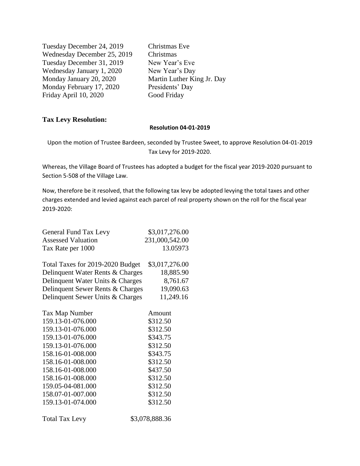Tuesday December 24, 2019 Christmas Eve Wednesday December 25, 2019 Christmas Tuesday December 31, 2019 New Year's Eve Wednesday January 1, 2020 New Year's Day Monday January 20, 2020 Martin Luther King Jr. Day Monday February 17, 2020 Presidents' Day Friday April 10, 2020 Good Friday

## **Tax Levy Resolution:**

#### **Resolution 04-01-2019**

Upon the motion of Trustee Bardeen, seconded by Trustee Sweet, to approve Resolution 04-01-2019 Tax Levy for 2019-2020.

Whereas, the Village Board of Trustees has adopted a budget for the fiscal year 2019-2020 pursuant to Section 5-508 of the Village Law.

Now, therefore be it resolved, that the following tax levy be adopted levying the total taxes and other charges extended and levied against each parcel of real property shown on the roll for the fiscal year 2019-2020:

| General Fund Tax Levy            | \$3,017,276.00 |
|----------------------------------|----------------|
| <b>Assessed Valuation</b>        | 231,000,542.00 |
| Tax Rate per 1000                | 13.05973       |
|                                  |                |
| Total Taxes for 2019-2020 Budget | \$3,017,276.00 |
| Delinquent Water Rents & Charges | 18,885.90      |
| Delinquent Water Units & Charges | 8,761.67       |
| Delinquent Sewer Rents & Charges | 19,090.63      |
| Delinquent Sewer Units & Charges | 11,249.16      |

| Tax Map Number        | Amount         |
|-----------------------|----------------|
| 159.13-01-076.000     | \$312.50       |
| 159.13-01-076.000     | \$312.50       |
| 159.13-01-076.000     | \$343.75       |
| 159.13-01-076.000     | \$312.50       |
| 158.16-01-008.000     | \$343.75       |
| 158.16-01-008.000     | \$312.50       |
| 158.16-01-008.000     | \$437.50       |
| 158.16-01-008.000     | \$312.50       |
| 159.05-04-081.000     | \$312.50       |
| 158.07-01-007.000     | \$312.50       |
| 159.13-01-074.000     | \$312.50       |
| <b>Total Tax Levy</b> | \$3,078,888.36 |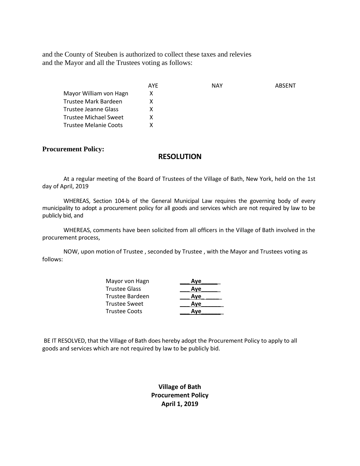and the County of Steuben is authorized to collect these taxes and relevies and the Mayor and all the Trustees voting as follows:

|                        | AYE | NAY | ABSENT |
|------------------------|-----|-----|--------|
| Mayor William von Hagn | x   |     |        |
| Trustee Mark Bardeen   |     |     |        |
| Trustee Jeanne Glass   |     |     |        |
| Trustee Michael Sweet  |     |     |        |
| Trustee Melanie Coots  |     |     |        |

#### **Procurement Policy:**

## **RESOLUTION**

At a regular meeting of the Board of Trustees of the Village of Bath, New York, held on the 1st day of April, 2019

WHEREAS, Section 104-b of the General Municipal Law requires the governing body of every municipality to adopt a procurement policy for all goods and services which are not required by law to be publicly bid, and

WHEREAS, comments have been solicited from all officers in the Village of Bath involved in the procurement process,

NOW, upon motion of Trustee , seconded by Trustee , with the Mayor and Trustees voting as follows:

| Mayor von Hagn  | Ave |
|-----------------|-----|
| Trustee Glass   | Ave |
| Trustee Bardeen | Ave |
| Trustee Sweet   | Ave |
| Trustee Coots   | Ave |

BE IT RESOLVED, that the Village of Bath does hereby adopt the Procurement Policy to apply to all goods and services which are not required by law to be publicly bid.

> **Village of Bath Procurement Policy April 1, 2019**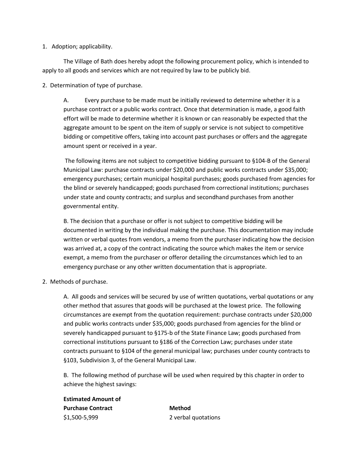#### 1. Adoption; applicability.

The Village of Bath does hereby adopt the following procurement policy, which is intended to apply to all goods and services which are not required by law to be publicly bid.

2. Determination of type of purchase.

A. Every purchase to be made must be initially reviewed to determine whether it is a purchase contract or a public works contract. Once that determination is made, a good faith effort will be made to determine whether it is known or can reasonably be expected that the aggregate amount to be spent on the item of supply or service is not subject to competitive bidding or competitive offers, taking into account past purchases or offers and the aggregate amount spent or received in a year.

The following items are not subject to competitive bidding pursuant to §104-B of the General Municipal Law: purchase contracts under \$20,000 and public works contracts under \$35,000; emergency purchases; certain municipal hospital purchases; goods purchased from agencies for the blind or severely handicapped; goods purchased from correctional institutions; purchases under state and county contracts; and surplus and secondhand purchases from another governmental entity.

B. The decision that a purchase or offer is not subject to competitive bidding will be documented in writing by the individual making the purchase. This documentation may include written or verbal quotes from vendors, a memo from the purchaser indicating how the decision was arrived at, a copy of the contract indicating the source which makes the item or service exempt, a memo from the purchaser or offeror detailing the circumstances which led to an emergency purchase or any other written documentation that is appropriate.

2. Methods of purchase.

A. All goods and services will be secured by use of written quotations, verbal quotations or any other method that assures that goods will be purchased at the lowest price. The following circumstances are exempt from the quotation requirement: purchase contracts under \$20,000 and public works contracts under \$35,000; goods purchased from agencies for the blind or severely handicapped pursuant to §175-b of the State Finance Law; goods purchased from correctional institutions pursuant to §186 of the Correction Law; purchases under state contracts pursuant to §104 of the general municipal law; purchases under county contracts to §103, Subdivision 3, of the General Municipal Law.

B. The following method of purchase will be used when required by this chapter in order to achieve the highest savings:

**Estimated Amount of Purchase Contract Method** \$1,500-5,999 2 verbal quotations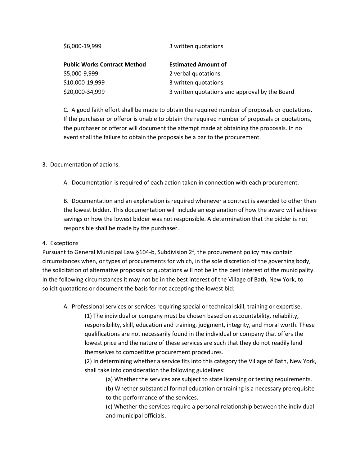| 3 written quotations and approval by the Board |
|------------------------------------------------|
|                                                |

C. A good faith effort shall be made to obtain the required number of proposals or quotations. If the purchaser or offeror is unable to obtain the required number of proposals or quotations, the purchaser or offeror will document the attempt made at obtaining the proposals. In no event shall the failure to obtain the proposals be a bar to the procurement.

## 3. Documentation of actions.

A. Documentation is required of each action taken in connection with each procurement.

B. Documentation and an explanation is required whenever a contract is awarded to other than the lowest bidder. This documentation will include an explanation of how the award will achieve savings or how the lowest bidder was not responsible. A determination that the bidder is not responsible shall be made by the purchaser.

## 4. Exceptions

Pursuant to General Municipal Law §104-b, Subdivision 2f, the procurement policy may contain circumstances when, or types of procurements for which, in the sole discretion of the governing body, the solicitation of alternative proposals or quotations will not be in the best interest of the municipality. In the following circumstances it may not be in the best interest of the Village of Bath, New York, to solicit quotations or document the basis for not accepting the lowest bid:

A. Professional services or services requiring special or technical skill, training or expertise.

(1) The individual or company must be chosen based on accountability, reliability, responsibility, skill, education and training, judgment, integrity, and moral worth. These qualifications are not necessarily found in the individual or company that offers the lowest price and the nature of these services are such that they do not readily lend themselves to competitive procurement procedures.

(2) In determining whether a service fits into this category the Village of Bath, New York, shall take into consideration the following guidelines:

(a) Whether the services are subject to state licensing or testing requirements.

(b) Whether substantial formal education or training is a necessary prerequisite to the performance of the services.

(c) Whether the services require a personal relationship between the individual and municipal officials.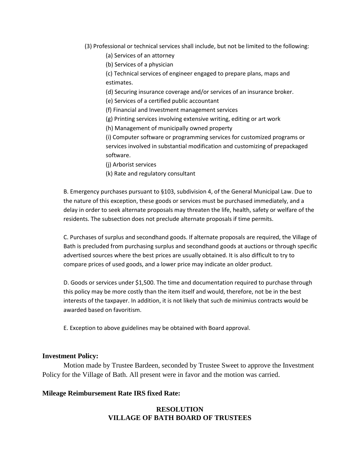- (3) Professional or technical services shall include, but not be limited to the following:
	- (a) Services of an attorney
	- (b) Services of a physician

(c) Technical services of engineer engaged to prepare plans, maps and estimates.

(d) Securing insurance coverage and/or services of an insurance broker.

(e) Services of a certified public accountant

(f) Financial and Investment management services

- (g) Printing services involving extensive writing, editing or art work
- (h) Management of municipally owned property

(i) Computer software or programming services for customized programs or services involved in substantial modification and customizing of prepackaged software.

- (j) Arborist services
- (k) Rate and regulatory consultant

B. Emergency purchases pursuant to §103, subdivision 4, of the General Municipal Law. Due to the nature of this exception, these goods or services must be purchased immediately, and a delay in order to seek alternate proposals may threaten the life, health, safety or welfare of the residents. The subsection does not preclude alternate proposals if time permits.

C. Purchases of surplus and secondhand goods. If alternate proposals are required, the Village of Bath is precluded from purchasing surplus and secondhand goods at auctions or through specific advertised sources where the best prices are usually obtained. It is also difficult to try to compare prices of used goods, and a lower price may indicate an older product.

D. Goods or services under \$1,500. The time and documentation required to purchase through this policy may be more costly than the item itself and would, therefore, not be in the best interests of the taxpayer. In addition, it is not likely that such de minimius contracts would be awarded based on favoritism.

E. Exception to above guidelines may be obtained with Board approval.

## **Investment Policy:**

Motion made by Trustee Bardeen, seconded by Trustee Sweet to approve the Investment Policy for the Village of Bath. All present were in favor and the motion was carried.

## **Mileage Reimbursement Rate IRS fixed Rate:**

## **RESOLUTION VILLAGE OF BATH BOARD OF TRUSTEES**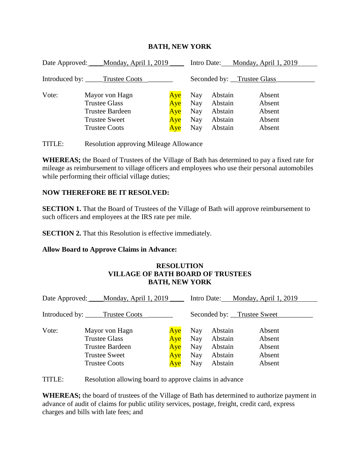| Date Approved: ____Monday, April 1, 2019 |                                                                  | Monday, April 1, 2019<br>Intro Date: |                   |                               |                            |  |
|------------------------------------------|------------------------------------------------------------------|--------------------------------------|-------------------|-------------------------------|----------------------------|--|
| Introduced by: _____Trustee Coots        |                                                                  | Seconded by: Trustee Glass           |                   |                               |                            |  |
| Vote:                                    | Mayor von Hagn<br><b>Trustee Glass</b><br><b>Trustee Bardeen</b> | Aye<br>Aye<br>Aye                    | Nay<br>Nay<br>Nay | Abstain<br>Abstain<br>Abstain | Absent<br>Absent<br>Absent |  |
|                                          | <b>Trustee Sweet</b><br><b>Trustee Coots</b>                     | Aye<br>Aye                           | Nay<br>Nay        | Abstain<br>Abstain            | Absent<br>Absent           |  |

# **BATH, NEW YORK**

TITLE: Resolution approving Mileage Allowance

**WHEREAS;** the Board of Trustees of the Village of Bath has determined to pay a fixed rate for mileage as reimbursement to village officers and employees who use their personal automobiles while performing their official village duties;

# **NOW THEREFORE BE IT RESOLVED:**

**SECTION 1.** That the Board of Trustees of the Village of Bath will approve reimbursement to such officers and employees at the IRS rate per mile.

**SECTION 2.** That this Resolution is effective immediately.

## **Allow Board to Approve Claims in Advance:**

## **RESOLUTION VILLAGE OF BATH BOARD OF TRUSTEES BATH, NEW YORK**

| Date Approved: Monday, April 1, 2019 |                                                                                                                  | <u>Monday, April 1, 2019</u><br>Intro Date: |                                 |                                                     |                                                |  |
|--------------------------------------|------------------------------------------------------------------------------------------------------------------|---------------------------------------------|---------------------------------|-----------------------------------------------------|------------------------------------------------|--|
| Introduced by: _____Trustee Coots    |                                                                                                                  | Seconded by: _Trustee Sweet_                |                                 |                                                     |                                                |  |
| Vote:                                | Mayor von Hagn<br><b>Trustee Glass</b><br><b>Trustee Bardeen</b><br><b>Trustee Sweet</b><br><b>Trustee Coots</b> | Aye<br>Aye<br>Aye<br>Aye<br>Aye             | Nay<br>Nay<br>Nay<br>Nay<br>Nay | Abstain<br>Abstain<br>Abstain<br>Abstain<br>Abstain | Absent<br>Absent<br>Absent<br>Absent<br>Absent |  |

TITLE: Resolution allowing board to approve claims in advance

**WHEREAS;** the board of trustees of the Village of Bath has determined to authorize payment in advance of audit of claims for public utility services, postage, freight, credit card, express charges and bills with late fees; and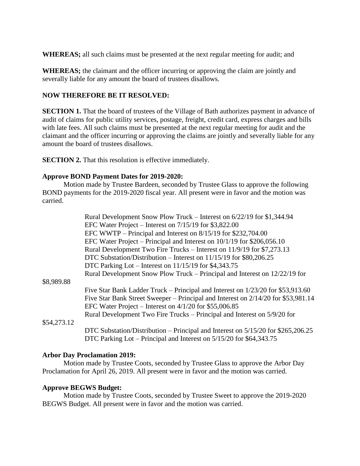**WHEREAS;** all such claims must be presented at the next regular meeting for audit; and

**WHEREAS;** the claimant and the officer incurring or approving the claim are jointly and severally liable for any amount the board of trustees disallows.

## **NOW THEREFORE BE IT RESOLVED:**

**SECTION 1.** That the board of trustees of the Village of Bath authorizes payment in advance of audit of claims for public utility services, postage, freight, credit card, express charges and bills with late fees. All such claims must be presented at the next regular meeting for audit and the claimant and the officer incurring or approving the claims are jointly and severally liable for any amount the board of trustees disallows.

**SECTION 2.** That this resolution is effective immediately.

## **Approve BOND Payment Dates for 2019-2020:**

Motion made by Trustee Bardeen, seconded by Trustee Glass to approve the following BOND payments for the 2019-2020 fiscal year. All present were in favor and the motion was carried.

|             | Rural Development Snow Plow Truck – Interest on 6/22/19 for \$1,344.94             |
|-------------|------------------------------------------------------------------------------------|
|             | EFC Water Project – Interest on $7/15/19$ for \$3,822.00                           |
|             | EFC WWTP – Principal and Interest on 8/15/19 for \$232,704.00                      |
|             | EFC Water Project – Principal and Interest on $10/1/19$ for \$206,056.10           |
|             | Rural Development Two Fire Trucks – Interest on 11/9/19 for \$7,273.13             |
|             | DTC Substation/Distribution – Interest on $11/15/19$ for \$80,206.25               |
|             | DTC Parking Lot – Interest on $11/15/19$ for \$4,343.75                            |
|             | Rural Development Snow Plow Truck – Principal and Interest on 12/22/19 for         |
| \$8,989.88  |                                                                                    |
|             | Five Star Bank Ladder Truck – Principal and Interest on $1/23/20$ for \$53,913.60  |
|             | Five Star Bank Street Sweeper – Principal and Interest on 2/14/20 for \$53,981.14  |
|             | EFC Water Project – Interest on $4/1/20$ for \$55,006.85                           |
|             | Rural Development Two Fire Trucks – Principal and Interest on 5/9/20 for           |
| \$54,273.12 |                                                                                    |
|             | DTC Substation/Distribution – Principal and Interest on $5/15/20$ for \$265,206.25 |
|             | DTC Parking Lot – Principal and Interest on $5/15/20$ for \$64,343.75              |

## **Arbor Day Proclamation 2019:**

Motion made by Trustee Coots, seconded by Trustee Glass to approve the Arbor Day Proclamation for April 26, 2019. All present were in favor and the motion was carried.

## **Approve BEGWS Budget:**

Motion made by Trustee Coots, seconded by Trustee Sweet to approve the 2019-2020 BEGWS Budget. All present were in favor and the motion was carried.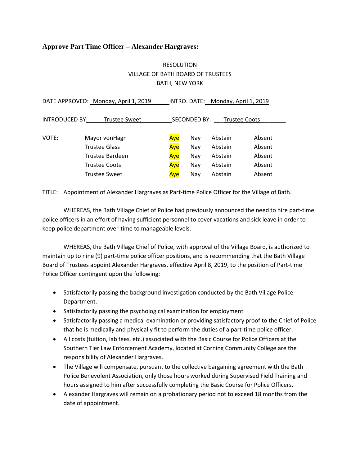## **Approve Part Time Officer – Alexander Hargraves:**

# RESOLUTION VILLAGE OF BATH BOARD OF TRUSTEES BATH, NEW YORK

|                 | DATE APPROVED: Monday, April 1, 2019 |                                      |     | INTRO. DATE: Monday, April 1, 2019 |        |  |
|-----------------|--------------------------------------|--------------------------------------|-----|------------------------------------|--------|--|
| INTRODUCED BY:  | <b>Trustee Sweet</b>                 | SECONDED BY:<br><b>Trustee Coots</b> |     |                                    |        |  |
| VOTE:           | Mayor vonHagn                        | Aye                                  | Nay | Abstain                            | Absent |  |
|                 | <b>Trustee Glass</b>                 | Aye                                  | Nay | Abstain                            | Absent |  |
| Trustee Bardeen |                                      | Aye                                  | Nay | Abstain                            | Absent |  |
|                 | <b>Trustee Coots</b>                 | Aye                                  | Nay | Abstain                            | Absent |  |
|                 | <b>Trustee Sweet</b>                 | Aye                                  | Nay | Abstain                            | Absent |  |

TITLE: Appointment of Alexander Hargraves as Part-time Police Officer for the Village of Bath.

WHEREAS, the Bath Village Chief of Police had previously announced the need to hire part-time police officers in an effort of having sufficient personnel to cover vacations and sick leave in order to keep police department over-time to manageable levels.

WHEREAS, the Bath Village Chief of Police, with approval of the Village Board, is authorized to maintain up to nine (9) part-time police officer positions, and is recommending that the Bath Village Board of Trustees appoint Alexander Hargraves, effective April 8, 2019, to the position of Part-time Police Officer contingent upon the following:

- Satisfactorily passing the background investigation conducted by the Bath Village Police Department.
- Satisfactorily passing the psychological examination for employment
- Satisfactorily passing a medical examination or providing satisfactory proof to the Chief of Police that he is medically and physically fit to perform the duties of a part-time police officer.
- All costs (tuition, lab fees, etc.) associated with the Basic Course for Police Officers at the Southern Tier Law Enforcement Academy, located at Corning Community College are the responsibility of Alexander Hargraves.
- The Village will compensate, pursuant to the collective bargaining agreement with the Bath Police Benevolent Association, only those hours worked during Supervised Field Training and hours assigned to him after successfully completing the Basic Course for Police Officers.
- Alexander Hargraves will remain on a probationary period not to exceed 18 months from the date of appointment.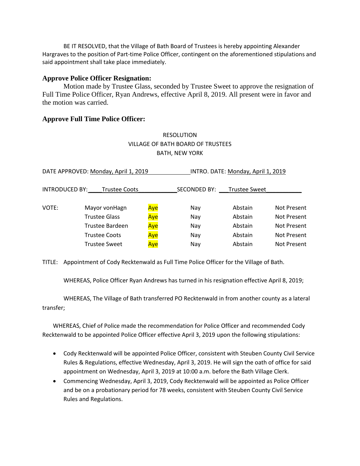BE IT RESOLVED, that the Village of Bath Board of Trustees is hereby appointing Alexander Hargraves to the position of Part-time Police Officer, contingent on the aforementioned stipulations and said appointment shall take place immediately.

## **Approve Police Officer Resignation:**

Motion made by Trustee Glass, seconded by Trustee Sweet to approve the resignation of Full Time Police Officer, Ryan Andrews, effective April 8, 2019. All present were in favor and the motion was carried.

## **Approve Full Time Police Officer:**

# RESOLUTION VILLAGE OF BATH BOARD OF TRUSTEES BATH, NEW YORK

| DATE APPROVED: Monday, April 1, 2019   |                      |              | INTRO. DATE: Monday, April 1, 2019 |         |             |  |
|----------------------------------------|----------------------|--------------|------------------------------------|---------|-------------|--|
| INTRODUCED BY:<br><b>Trustee Coots</b> |                      | SECONDED BY: | <b>Trustee Sweet</b>               |         |             |  |
| VOTE:                                  | Mayor vonHagn        | Aye          | Nay                                | Abstain | Not Present |  |
|                                        | Trustee Glass        | Aye          | Nay                                | Abstain | Not Present |  |
|                                        | Trustee Bardeen      | Aye          | Nay                                | Abstain | Not Present |  |
|                                        | <b>Trustee Coots</b> | Aye          | Nay                                | Abstain | Not Present |  |
|                                        | <b>Trustee Sweet</b> | Aye          | Nay                                | Abstain | Not Present |  |

TITLE: Appointment of Cody Recktenwald as Full Time Police Officer for the Village of Bath.

WHEREAS, Police Officer Ryan Andrews has turned in his resignation effective April 8, 2019;

WHEREAS, The Village of Bath transferred PO Recktenwald in from another county as a lateral transfer;

WHEREAS, Chief of Police made the recommendation for Police Officer and recommended Cody Recktenwald to be appointed Police Officer effective April 3, 2019 upon the following stipulations:

- Cody Recktenwald will be appointed Police Officer, consistent with Steuben County Civil Service Rules & Regulations, effective Wednesday, April 3, 2019. He will sign the oath of office for said appointment on Wednesday, April 3, 2019 at 10:00 a.m. before the Bath Village Clerk.
- Commencing Wednesday, April 3, 2019, Cody Recktenwald will be appointed as Police Officer and be on a probationary period for 78 weeks, consistent with Steuben County Civil Service Rules and Regulations.